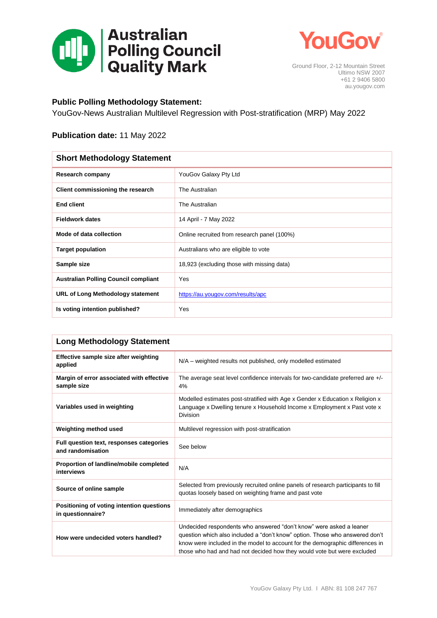



Ground Floor, 2-12 Mountain Street Ultimo NSW 2007 +61 2 9406 5800 au.yougov.com

## **Public Polling Methodology Statement:**

YouGov-News Australian Multilevel Regression with Post-stratification (MRP) May 2022

## **Publication date:** 11 May 2022

| <b>Short Methodology Statement</b>          |                                             |  |
|---------------------------------------------|---------------------------------------------|--|
| Research company                            | YouGov Galaxy Pty Ltd                       |  |
| Client commissioning the research           | The Australian                              |  |
| <b>End client</b>                           | The Australian                              |  |
| <b>Fieldwork dates</b>                      | 14 April - 7 May 2022                       |  |
| Mode of data collection                     | Online recruited from research panel (100%) |  |
| <b>Target population</b>                    | Australians who are eligible to vote        |  |
| Sample size                                 | 18,923 (excluding those with missing data)  |  |
| <b>Australian Polling Council compliant</b> | Yes                                         |  |
| URL of Long Methodology statement           | https://au.yougov.com/results/apc           |  |
| Is voting intention published?              | Yes                                         |  |

| <b>Long Methodology Statement</b>                              |                                                                                                                                                                                                                                                                                                                 |  |
|----------------------------------------------------------------|-----------------------------------------------------------------------------------------------------------------------------------------------------------------------------------------------------------------------------------------------------------------------------------------------------------------|--|
| Effective sample size after weighting<br>applied               | N/A – weighted results not published, only modelled estimated                                                                                                                                                                                                                                                   |  |
| Margin of error associated with effective<br>sample size       | The average seat level confidence intervals for two-candidate preferred are +/-<br>4%                                                                                                                                                                                                                           |  |
| Variables used in weighting                                    | Modelled estimates post-stratified with Age x Gender x Education x Religion x<br>Language x Dwelling tenure x Household Income x Employment x Past vote x<br><b>Division</b>                                                                                                                                    |  |
| Weighting method used                                          | Multilevel regression with post-stratification                                                                                                                                                                                                                                                                  |  |
| Full question text, responses categories<br>and randomisation  | See below                                                                                                                                                                                                                                                                                                       |  |
| Proportion of landline/mobile completed<br>interviews          | N/A                                                                                                                                                                                                                                                                                                             |  |
| Source of online sample                                        | Selected from previously recruited online panels of research participants to fill<br>quotas loosely based on weighting frame and past vote                                                                                                                                                                      |  |
| Positioning of voting intention questions<br>in questionnaire? | Immediately after demographics                                                                                                                                                                                                                                                                                  |  |
| How were undecided voters handled?                             | Undecided respondents who answered "don't know" were asked a leaner<br>question which also included a "don't know" option. Those who answered don't<br>know were included in the model to account for the demographic differences in<br>those who had and had not decided how they would vote but were excluded |  |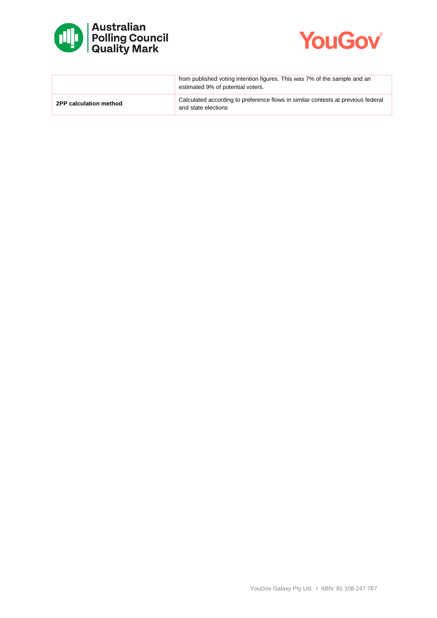



|                        | from published voting intention figures. This was 7% of the sample and an<br>estimated 9% of potential voters. |
|------------------------|----------------------------------------------------------------------------------------------------------------|
| 2PP calculation method | Calculated according to preference flows in similar contests at previous federal<br>and state elections        |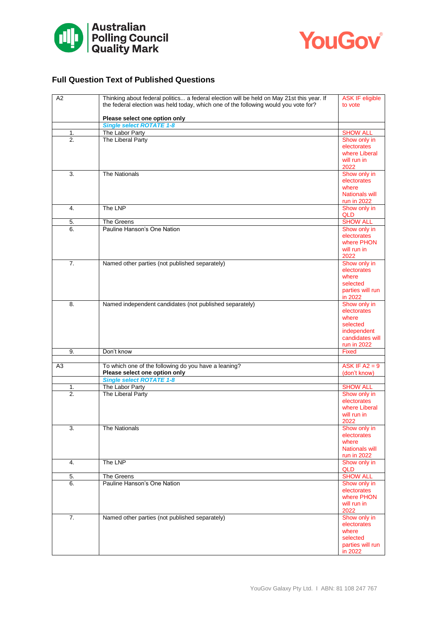



## **Full Question Text of Published Questions**

| A2               | Thinking about federal politics a federal election will be held on May 21st this year. If<br>the federal election was held today, which one of the following would you vote for? | <b>ASK IF eligible</b><br>to vote                                                      |
|------------------|----------------------------------------------------------------------------------------------------------------------------------------------------------------------------------|----------------------------------------------------------------------------------------|
|                  | Please select one option only                                                                                                                                                    |                                                                                        |
|                  | <b>Single select ROTATE 1-8</b>                                                                                                                                                  |                                                                                        |
| 1.               | The Labor Party                                                                                                                                                                  | <b>SHOW ALL</b>                                                                        |
| 2.               | The Liberal Party                                                                                                                                                                | Show only in<br>electorates<br>where Liberal<br>will run in                            |
|                  |                                                                                                                                                                                  | 2022                                                                                   |
| 3.               | <b>The Nationals</b>                                                                                                                                                             | Show only in<br>electorates<br>where<br><b>Nationals will</b>                          |
| 4.               | The LNP                                                                                                                                                                          | run in 2022<br>Show only in                                                            |
|                  |                                                                                                                                                                                  | QLD                                                                                    |
| 5.               | The Greens                                                                                                                                                                       | <b>SHOW ALL</b>                                                                        |
| 6.               | Pauline Hanson's One Nation                                                                                                                                                      | Show only in<br>electorates<br>where PHON<br>will run in<br>2022                       |
| $\overline{7}$ . | Named other parties (not published separately)                                                                                                                                   | Show only in                                                                           |
|                  |                                                                                                                                                                                  | electorates<br>where<br>selected<br>parties will run<br>in 2022                        |
| 8.               | Named independent candidates (not published separately)                                                                                                                          | Show only in                                                                           |
|                  |                                                                                                                                                                                  | electorates<br>where<br>selected<br>independent<br>candidates will<br>run in 2022      |
| 9.               | Don't know                                                                                                                                                                       | <b>Fixed</b>                                                                           |
| A <sub>3</sub>   | To which one of the following do you have a leaning?<br>Please select one option only                                                                                            | ASK IF $A2 = 9$<br>(don't know)                                                        |
|                  | <b>Single select ROTATE 1-8</b>                                                                                                                                                  |                                                                                        |
| 1.<br>2.         | The Labor Party<br>The Liberal Party                                                                                                                                             | <b>SHOW ALL</b><br>Show only in<br>electorates<br>where Liberal<br>will run in<br>2022 |
| 3.               | The Nationals                                                                                                                                                                    | Show only in<br>electorates<br>where<br><b>Nationals will</b><br>run in 2022           |
| 4.               | The LNP                                                                                                                                                                          | Show only in<br>QLD                                                                    |
| 5.               | The Greens                                                                                                                                                                       | <b>SHOW ALL</b>                                                                        |
| 6.               | Pauline Hanson's One Nation                                                                                                                                                      | Show only in<br>electorates<br>where PHON<br>will run in<br>2022                       |
| 7.               | Named other parties (not published separately)                                                                                                                                   | Show only in<br>electorates<br>where<br>selected<br>parties will run<br>in 2022        |